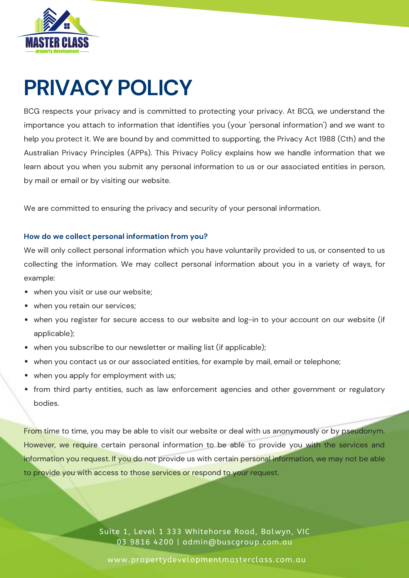

BCG respects your privacy and is committed to protecting your privacy. At BCG, we understand the importance you attach to information that identifies you (your 'personal information') and we want to help you protect it. We are bound by and committed to supporting, the Privacy Act 1988 (Cth) and the Australian Privacy Principles (APPs). This Privacy Policy explains how we handle information that we learn about you when you submit any personal information to us or our associated entities in person, by mail or email or by visiting our website.

We are committed to ensuring the privacy and security of your personal information.

### **How do we collect personal information from you?**

We will only collect personal information which you have voluntarily provided to us, or consented to us collecting the information. We may collect personal information about you in a variety of ways, for example:

- when you visit or use our website;
- when you retain our services;
- when you register for secure access to our website and log-in to your account on our website (if applicable);
- when you subscribe to our newsletter or mailing list (if applicable);
- when you contact us or our associated entities, for example by mail, email or telephone;
- when you apply for employment with us;
- from third party entities, such as law enforcement agencies and other government or regulatory bodies.

From time to time, you may be able to visit our website or deal with us [anonymously](https://www.commbank.com.au/security-privacy/general-security/privacy.html) or by pseudonym. However, we require certain personal information to be able to provide you with the services and information you request. If you do not provide us with certain personal information, we may not be able to provide you with access to those services or respond to your request.

> Suite 1, Level 1 333 Whitehorse Road, Balwyn, VIC 03 9816 4200 | admin@buscgroup.com.au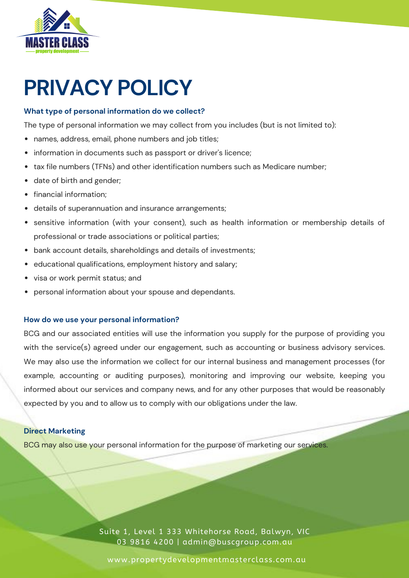

### **What type of personal information do we collect?**

The type of personal information we may collect from you includes (but is not limited to):

- names, address, email, phone numbers and job titles;
- information in documents such as passport or driver's licence;  $\bullet$
- tax file numbers (TFNs) and other identification numbers such as Medicare number;  $\bullet$
- date of birth and gender;
- financial information;
- details of [superannuation](https://www.commbank.com.au/security-privacy/general-security/privacy.html) and insurance arrangements;
- sensitive information (with your consent), such as health information or membership details of professional or trade associations or political parties;
- bank account details, shareholdings and details of investments;
- educational qualifications, employment history and salary;
- visa or work permit status; and  $\bullet$
- personal information about your spouse and dependants.

#### **How do we use your personal information?**

BCG and our associated entities will use the information you supply for the purpose of providing you with the service(s) agreed under our engagement, such as accounting or business advisory services. We may also use the information we collect for our internal business and management processes (for example, accounting or auditing purposes), monitoring and improving our website, keeping you informed about our services and company news, and for any other purposes that would be reasonably expected by you and to allow us to comply with our obligations under the law.

### **Direct Marketing**

BCG may also use your personal information for the purpose of marketing our services.

Suite 1, Level 1 333 Whitehorse Road, Balwyn, VIC 03 9816 4200 | admin@buscgroup.com.au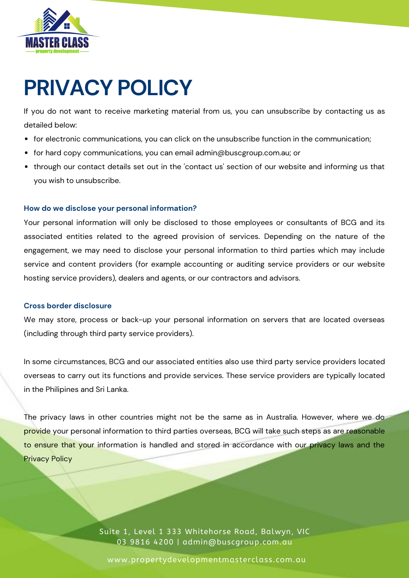

If you do not want to receive marketing material from us, you can unsubscribe by contacting us as detailed below:

- for electronic communications, you can click on the unsubscribe function in the communication;
- for hard copy communications, you can email [admin@buscgroup.com.au;](https://www.commbank.com.au/security-privacy/general-security/privacy.html) or
- through our contact details set out in the 'contact us' section of our website and informing us that you wish to unsubscribe.

### **How do we disclose your personal information?**

Your personal information will only be disclosed to those employees or consultants of BCG and its associated entities related to the agreed provision of services. Depending on the nature of the engagement, we may need to disclose your personal information to third parties which may include service and content providers (for example accounting or auditing service providers or our website hosting service providers), dealers and agents, or our contractors and advisors.

#### **Cross border disclosure**

We may store, process or back-up your personal information on servers that are located overseas (including through third party service providers).

In some circumstances, BCG and our associated entities also use third party service providers located overseas to carry out its functions and provide services. These service providers are typically located in the Philipines and Sri Lanka.

The privacy laws in other countries might not be the same as in Australia. However, where we do provide your personal information to third parties overseas, BCG will take such steps as are reasonable to ensure that your information is handled and stored in accordance with our privacy laws and the Privacy Policy

> Suite 1, Level 1 333 Whitehorse Road, Balwyn, VIC 03 9816 4200 | admin@buscgroup.com.au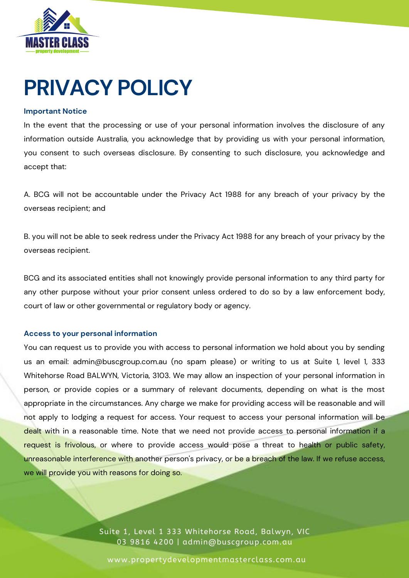

#### **Important Notice**

In the event that the processing or use of your personal information involves the disclosure of any information outside Australia, you acknowledge that by providing us with your personal information, you consent to such overseas disclosure. By consenting to such disclosure, you acknowledge and accept that:

A. BCG will not be accountable under the Privacy Act 1988 for any breach of your privacy by the overseas recipient; and

B. you will not be able to seek redress under the Privacy Act 1988 for any breach of your privacy by the overseas recipient.

BCG and its associated entities shall not knowingly provide personal information to any third party for any other purpose without your prior consent unless ordered to do so by a law enforcement body, court of law or other governmental or regulatory body or agency.

#### **Access to your personal information**

You can request us to provide you with access to personal information we hold about you by sending us an email: [admin@buscgroup.com.au](https://www.commbank.com.au/security-privacy/general-security/privacy.html) (no spam please) or writing to us at Suite 1, level 1, 333 Whitehorse Road BALWYN, Victoria, 3103. We may allow an inspection of your personal information in person, or provide copies or a summary of relevant documents, depending on what is the most appropriate in the circumstances. Any charge we make for providing access will be reasonable and will not apply to lodging a request for access. Your request to access your personal information will be dealt with in a reasonable time. Note that we need not provide access to personal information if a request is frivolous, or where to provide access would pose a threat to health or public safety, unreasonable interference with another person's privacy, or be a breach of the law. If we refuse access, we will provide you with reasons for doing so.

> Suite 1, Level 1 333 Whitehorse Road, Balwyn, VIC 03 9816 4200 | admin@buscgroup.com.au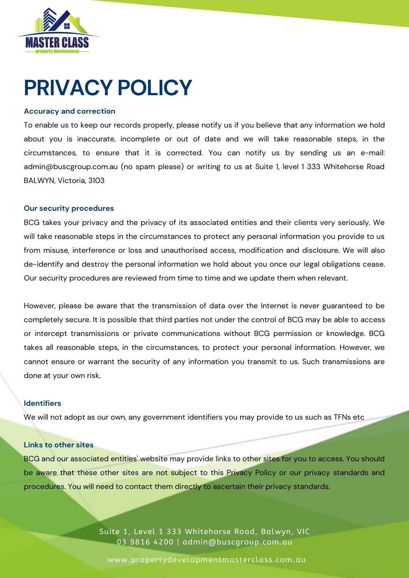

#### **Accuracy and correction**

To enable us to keep our records properly, please notify us if you believe that any information we hold about you is inaccurate, incomplete or out of date and we will take reasonable steps, in the circumstances, to ensure that it is corrected. You can notify us by sending us an e-mail: [admin@buscgroup.com.au](https://www.commbank.com.au/security-privacy/general-security/privacy.html) (no spam please) or writing to us at Suite 1, level 1 333 Whitehorse Road BALWYN, Victoria, 3103

#### **Our security procedures**

BCG takes your privacy and the privacy of its associated entities and their clients very seriously. We will take reasonable steps in the circumstances to protect any personal information you provide to us from misuse, interference or loss and unauthorised access, modification and disclosure. We will also de-identify and destroy the personal information we hold about you once our legal obligations cease. Our security procedures are reviewed from time to time and we update them when relevant.

However, please be aware that the transmission of data over the Internet is never guaranteed to be completely secure. It is possible that third parties not under the control of BCG may be able to access or intercept transmissions or private communications without BCG permission or knowledge. BCG takes all reasonable steps, in the circumstances, to protect your personal information. However, we cannot ensure or warrant the security of any information you transmit to us. Such transmissions are done at your own risk.

#### **Identifiers**

We will not adopt as our own, any government identifiers you may provide to us such as TFNs etc

#### **Links to other sites**

BCG and our associated entities' website may provide links to other sites for you to access. You should be aware that these other sites are not subject to this Privacy Policy or our privacy standards and procedures. You will need to contact them directly to ascertain their privacy standards.

> Suite 1, Level 1 333 Whitehorse Road, Balwyn, VIC 03 9816 4200 | admin@buscgroup.com.au